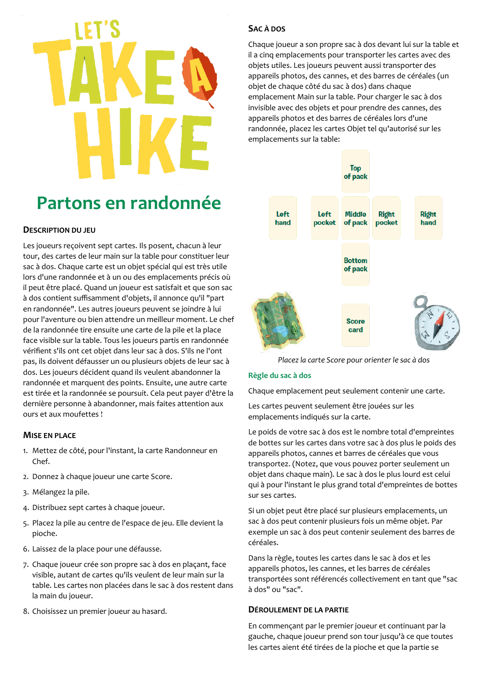# Partons en randonnée

# **DESCRIPTION DU JEU**

Les joueurs recoivent sept cartes. Ils posent, chacun à leur tour, des cartes de leur main sur la table pour constituer leur sac à dos. Chaque carte est un objet spécial qui est très utile lors d'une randonnée et à un ou des emplacements précis où il peut être placé. Quand un joueur est satisfait et que son sac à dos contient suffisamment d'objets, il annonce qu'il "part en randonnée". Les autres joueurs peuvent se joindre à lui pour l'aventure ou bien attendre un meilleur moment. Le chef de la randonnée tire ensuite une carte de la pile et la place face visible sur la table. Tous les joueurs partis en randonnée vérifient s'ils ont cet objet dans leur sac à dos. S'ils ne l'ont pas, ils doivent défausser un ou plusieurs objets de leur sac à dos. Les joueurs décident quand ils veulent abandonner la randonnée et marquent des points. Ensuite, une autre carte est tirée et la randonnée se poursuit. Cela peut payer d'être la dernière personne à abandonner, mais faites attention aux ours et aux moufettes !

# **MISE EN PLACE**

- 1. Mettez de côté, pour l'instant, la carte Randonneur en Chef.
- 2. Donnez à chaque joueur une carte Score.
- 3. Mélangez la pile.
- 4. Distribuez sept cartes à chaque joueur.
- 5. Placez la pile au centre de l'espace de jeu. Elle devient la pioche.
- 6. Laissez de la place pour une défausse.
- 7. Chaque joueur crée son propre sac à dos en placant, face visible, autant de cartes qu'ils veulent de leur main sur la table. Les cartes non placées dans le sac à dos restent dans la main du joueur.
- 8. Choisissez un premier joueur au hasard.

# SAC À DOS

Chaque joueur a son propre sac à dos devant lui sur la table et il a cinq emplacements pour transporter les cartes avec des objets utiles. Les joueurs peuvent aussi transporter des appareils photos, des cannes, et des barres de céréales (un objet de chaque côté du sac à dos) dans chaque emplacement Main sur la table. Pour charger le sac à dos invisible avec des objets et pour prendre des cannes, des appareils photos et des barres de céréales lors d'une randonnée, placez les cartes Objet tel qu'autorisé sur les emplacements sur la table:



Placez la carte Score pour orienter le sac à dos

# Règle du sac à dos

Chaque emplacement peut seulement contenir une carte.

Les cartes peuvent seulement être jouées sur les emplacements indiqués sur la carte.

Le poids de votre sac à dos est le nombre total d'empreintes de bottes sur les cartes dans votre sac à dos plus le poids des appareils photos, cannes et barres de céréales que vous transportez. (Notez, que vous pouvez porter seulement un objet dans chaque main). Le sac à dos le plus lourd est celui qui à pour l'instant le plus grand total d'empreintes de bottes sur ses cartes.

Si un objet peut être placé sur plusieurs emplacements, un sac à dos peut contenir plusieurs fois un même objet. Par exemple un sac à dos peut contenir seulement des barres de céréales.

Dans la règle, toutes les cartes dans le sac à dos et les appareils photos, les cannes, et les barres de céréales transportées sont référencés collectivement en tant que "sac à dos" ou "sac".

# DÉROULEMENT DE LA PARTIE

En commençant par le premier joueur et continuant par la gauche, chaque joueur prend son tour jusqu'à ce que toutes les cartes aient été tirées de la pioche et que la partie se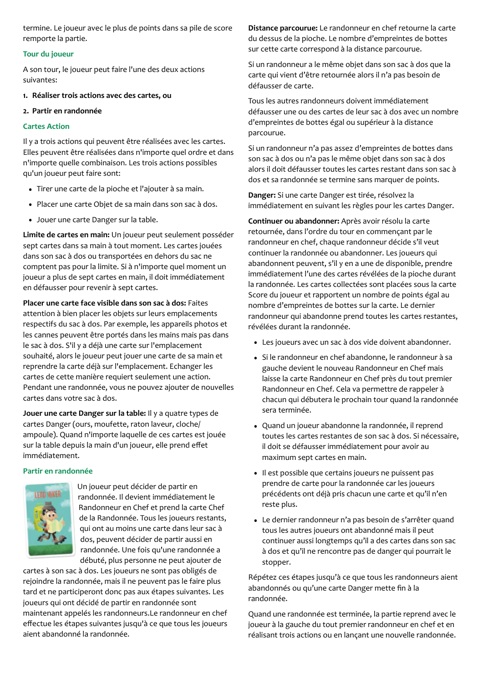termine. Le joueur avec le plus de points dans sa pile de score remporte la partie.

# Tour du joueur

A son tour, le joueur peut faire l'une des deux actions suivantes:

- 1. Réaliser trois actions avec des cartes, ou
- 2. Partir en randonnée

# **Cartes Action**

Il y a trois actions qui peuvent être réalisées avec les cartes. Elles peuvent être réalisées dans n'importe quel ordre et dans n'importe quelle combinaison. Les trois actions possibles qu'un joueur peut faire sont:

- Tirer une carte de la pioche et l'ajouter à sa main.
- · Placer une carte Objet de sa main dans son sac à dos.
- Jouer une carte Danger sur la table.

Limite de cartes en main: Un joueur peut seulement posséder sept cartes dans sa main à tout moment. Les cartes jouées dans son sac à dos ou transportées en dehors du sac ne comptent pas pour la limite. Si à n'importe quel moment un joueur a plus de sept cartes en main, il doit immédiatement en défausser pour revenir à sept cartes.

Placer une carte face visible dans son sac à dos: Faites attention à bien placer les objets sur leurs emplacements respectifs du sac à dos. Par exemple, les appareils photos et les cannes peuvent être portés dans les mains mais pas dans le sac à dos. S'il y a déjà une carte sur l'emplacement souhaité, alors le joueur peut jouer une carte de sa main et reprendre la carte déjà sur l'emplacement. Echanger les cartes de cette manière requiert seulement une action. Pendant une randonnée, vous ne pouvez ajouter de nouvelles cartes dans votre sac à dos.

Jouer une carte Danger sur la table: Il y a quatre types de cartes Danger (ours, moufette, raton laveur, cloche/ ampoule). Quand n'importe laquelle de ces cartes est jouée sur la table depuis la main d'un joueur, elle prend effet immédiatement.

# Partir en randonnée



Un joueur peut décider de partir en randonnée. Il devient immédiatement le Randonneur en Chef et prend la carte Chef de la Randonnée. Tous les joueurs restants, qui ont au moins une carte dans leur sac à dos, peuvent décider de partir aussi en randonnée. Une fois qu'une randonnée a débuté, plus personne ne peut ajouter de

cartes à son sac à dos. Les joueurs ne sont pas obligés de rejoindre la randonnée, mais il ne peuvent pas le faire plus tard et ne participeront donc pas aux étapes suivantes. Les joueurs qui ont décidé de partir en randonnée sont maintenant appelés les randonneurs. Le randonneur en chef effectue les étapes suivantes jusqu'à ce que tous les joueurs aient abandonné la randonnée.

Distance parcourue: Le randonneur en chef retourne la carte du dessus de la pioche. Le nombre d'empreintes de bottes sur cette carte correspond à la distance parcourue.

Si un randonneur a le même objet dans son sac à dos que la carte qui vient d'être retournée alors il n'a pas besoin de défausser de carte.

Tous les autres randonneurs doivent immédiatement défausser une ou des cartes de leur sac à dos avec un nombre d'empreintes de bottes égal ou supérieur à la distance parcourue.

Si un randonneur n'a pas assez d'empreintes de bottes dans son sac à dos ou n'a pas le même objet dans son sac à dos alors il doit défausser toutes les cartes restant dans son sac à dos et sa randonnée se termine sans marquer de points.

Danger: Si une carte Danger est tirée, résolvez la immédiatement en suivant les règles pour les cartes Danger.

Continuer ou abandonner: Après avoir résolu la carte retournée, dans l'ordre du tour en commençant par le randonneur en chef, chaque randonneur décide s'il veut continuer la randonnée ou abandonner. Les joueurs qui abandonnent peuvent, s'il y en a une de disponible, prendre immédiatement l'une des cartes révélées de la pioche durant la randonnée. Les cartes collectées sont placées sous la carte Score du joueur et rapportent un nombre de points égal au nombre d'empreintes de bottes sur la carte. Le dernier randonneur qui abandonne prend toutes les cartes restantes, révélées durant la randonnée.

- Les joueurs avec un sac à dos vide doivent abandonner.
- · Si le randonneur en chef abandonne, le randonneur à sa gauche devient le nouveau Randonneur en Chef mais laisse la carte Randonneur en Chef près du tout premier Randonneur en Chef. Cela va permettre de rappeler à chacun qui débutera le prochain tour quand la randonnée sera terminée.
- · Quand un joueur abandonne la randonnée, il reprend toutes les cartes restantes de son sac à dos. Si nécessaire, il doit se défausser immédiatement pour avoir au maximum sept cartes en main.
- Il est possible que certains joueurs ne puissent pas prendre de carte pour la randonnée car les joueurs précédents ont déjà pris chacun une carte et qu'il n'en reste plus.
- · Le dernier randonneur n'a pas besoin de s'arrêter quand tous les autres joueurs ont abandonné mais il peut continuer aussi longtemps qu'il a des cartes dans son sac à dos et qu'il ne rencontre pas de danger qui pourrait le stopper.

Répétez ces étapes jusqu'à ce que tous les randonneurs aient abandonnés ou qu'une carte Danger mette fin à la randonnée.

Quand une randonnée est terminée, la partie reprend avec le joueur à la gauche du tout premier randonneur en chef et en réalisant trois actions ou en lançant une nouvelle randonnée.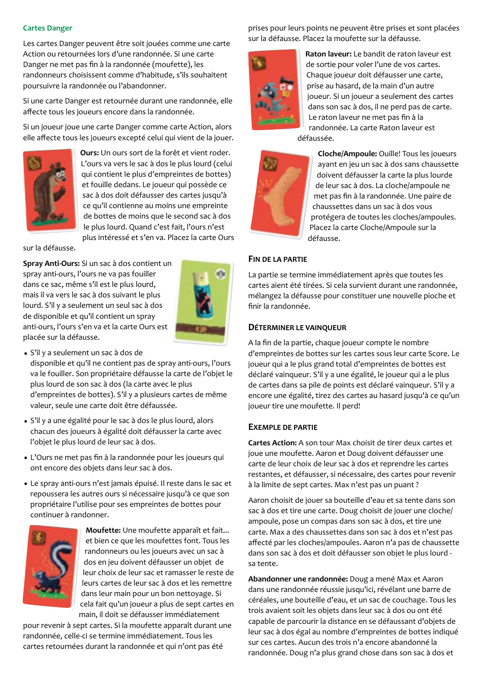# **Cartes Danger**

Les cartes Danger peuvent être soit jouées comme une carte Action ou retournées lors d'une randonnée. Si une carte Danger ne met pas fin à la randonnée (moufette), les randonneurs choisissent comme d'habitude, s'ils souhaitent poursuivre la randonnée ou l'abandonner.

Si une carte Danger est retournée durant une randonnée, elle affecte tous les joueurs encore dans la randonnée.

Si un joueur joue une carte Danger comme carte Action, alors elle affecte tous les joueurs excepté celui qui vient de la jouer.



Ours: Un ours sort de la forêt et vient roder. L'ours va vers le sac à dos le plus lourd (celui qui contient le plus d'empreintes de bottes) et fouille dedans. Le joueur qui possède ce sac à dos doit défausser des cartes jusqu'à ce qu'il contienne au moins une empreinte de bottes de moins que le second sac à dos le plus lourd. Quand c'est fait, l'ours n'est plus intéressé et s'en va. Placez la carte Ours

sur la défausse.

Spray Anti-Ours: Si un sac à dos contient un spray anti-ours, l'ours ne va pas fouiller dans ce sac, même s'il est le plus lourd, mais il va vers le sac à dos suivant le plus lourd. S'il y a seulement un seul sac à dos de disponible et qu'il contient un spray anti-ours, l'ours s'en va et la carte Ours est placée sur la défausse.



· S'il y a seulement un sac à dos de

disponible et qu'il ne contient pas de spray anti-ours, l'ours va le fouiller. Son propriétaire défausse la carte de l'objet le plus lourd de son sac à dos (la carte avec le plus d'empreintes de bottes). S'il y a plusieurs cartes de même valeur, seule une carte doit être défaussée.

- · S'il y a une égalité pour le sac à dos le plus lourd, alors chacun des joueurs à égalité doit défausser la carte avec l'objet le plus lourd de leur sac à dos.
- · L'Ours ne met pas fin à la randonnée pour les joueurs qui ont encore des objets dans leur sac à dos.
- · Le spray anti-ours n'est jamais épuisé. Il reste dans le sac et repoussera les autres ours si nécessaire jusqu'à ce que son propriétaire l'utilise pour ses empreintes de bottes pour continuer à randonner.



Moufette: Une moufette apparaît et fait... et bien ce que les moufettes font. Tous les randonneurs ou les joueurs avec un sac à dos en jeu doivent défausser un objet de leur choix de leur sac et ramasser le reste de leurs cartes de leur sac à dos et les remettre dans leur main pour un bon nettoyage. Si cela fait qu'un joueur a plus de sept cartes en main, il doit se défausser immédiatement

pour revenir à sept cartes. Si la moufette apparaît durant une randonnée, celle-ci se termine immédiatement. Tous les cartes retournées durant la randonnée et qui n'ont pas été

prises pour leurs points ne peuvent être prises et sont placées sur la défausse. Placez la moufette sur la défausse.



Raton laveur: Le bandit de raton laveur est de sortie pour voler l'une de vos cartes. Chaque joueur doit défausser une carte, prise au hasard, de la main d'un autre joueur. Si un joueur a seulement des cartes dans son sac à dos, il ne perd pas de carte. Le raton laveur ne met pas fin à la randonnée. La carte Raton laveur est

défaussée.



Cloche/Ampoule: Ouille! Tous les joueurs ayant en jeu un sac à dos sans chaussette doivent défausser la carte la plus lourde de leur sac à dos. La cloche/ampoule ne met pas fin à la randonnée. Une paire de chaussettes dans un sac à dos vous protégera de toutes les cloches/ampoules. Placez la carte Cloche/Ampoule sur la défausse.

#### FIN DE LA PARTIE

La partie se termine immédiatement après que toutes les cartes aient été tirées. Si cela survient durant une randonnée, mélangez la défausse pour constituer une nouvelle pioche et finir la randonnée.

#### DÉTERMINER LE VAINQUEUR

A la fin de la partie, chaque joueur compte le nombre d'empreintes de bottes sur les cartes sous leur carte Score. Le joueur qui a le plus grand total d'empreintes de bottes est déclaré vainqueur. S'il y a une égalité, le joueur qui a le plus de cartes dans sa pile de points est déclaré vainqueur. S'il y a encore une égalité, tirez des cartes au hasard jusqu'à ce qu'un joueur tire une moufette. Il perd!

#### **EXEMPLE DE PARTIE**

Cartes Action: A son tour Max choisit de tirer deux cartes et joue une moufette. Aaron et Doug doivent défausser une carte de leur choix de leur sac à dos et reprendre les cartes restantes, et défausser, si nécessaire, des cartes pour revenir à la limite de sept cartes. Max n'est pas un puant ?

Aaron choisit de jouer sa bouteille d'eau et sa tente dans son sac à dos et tire une carte. Doug choisit de jouer une cloche/ ampoule, pose un compas dans son sac à dos, et tire une carte. Max a des chaussettes dans son sac à dos et n'est pas affecté par les cloches/ampoules. Aaron n'a pas de chaussette dans son sac à dos et doit défausser son objet le plus lourd sa tente.

Abandonner une randonnée: Doug a mené Max et Aaron dans une randonnée réussie jusqu'ici, révélant une barre de céréales, une bouteille d'eau, et un sac de couchage. Tous les trois avaient soit les objets dans leur sac à dos ou ont été capable de parcourir la distance en se défaussant d'objets de leur sac à dos égal au nombre d'empreintes de bottes indiqué sur ces cartes. Aucun des trois n'a encore abandonné la randonnée. Doug n'a plus grand chose dans son sac à dos et